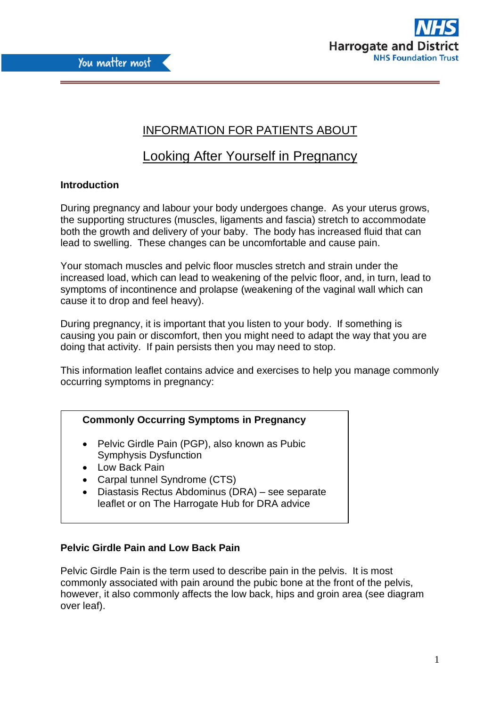



# INFORMATION FOR PATIENTS ABOUT

# Looking After Yourself in Pregnancy

# **Introduction**

During pregnancy and labour your body undergoes change. As your uterus grows, the supporting structures (muscles, ligaments and fascia) stretch to accommodate both the growth and delivery of your baby. The body has increased fluid that can lead to swelling. These changes can be uncomfortable and cause pain.

Your stomach muscles and pelvic floor muscles stretch and strain under the increased load, which can lead to weakening of the pelvic floor, and, in turn, lead to symptoms of incontinence and prolapse (weakening of the vaginal wall which can cause it to drop and feel heavy).

During pregnancy, it is important that you listen to your body. If something is causing you pain or discomfort, then you might need to adapt the way that you are doing that activity. If pain persists then you may need to stop.

This information leaflet contains advice and exercises to help you manage commonly occurring symptoms in pregnancy:

|  |  | <b>Commonly Occurring Symptoms in Pregnancy</b> |
|--|--|-------------------------------------------------|
|  |  |                                                 |

- Pelvic Girdle Pain (PGP), also known as Pubic Symphysis Dysfunction
- Low Back Pain
- Carpal tunnel Syndrome (CTS)
- Diastasis Rectus Abdominus (DRA) see separate leaflet or on The Harrogate Hub for DRA advice

# **Pelvic Girdle Pain and Low Back Pain**

Pelvic Girdle Pain is the term used to describe pain in the pelvis. It is most commonly associated with pain around the pubic bone at the front of the pelvis, however, it also commonly affects the low back, hips and groin area (see diagram over leaf).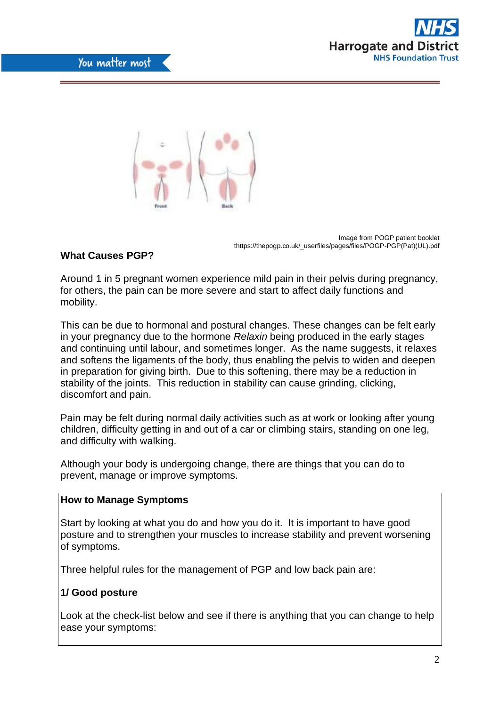



Image from POGP patient booklet thttps://thepogp.co.uk/\_userfiles/pages/files/POGP-PGP(Pat)(UL).pdf

# **What Causes PGP?**

Around 1 in 5 pregnant women experience mild pain in their pelvis during pregnancy, for others, the pain can be more severe and start to affect daily functions and mobility.

This can be due to hormonal and postural changes. These changes can be felt early in your pregnancy due to the hormone *Relaxin* being produced in the early stages and continuing until labour, and sometimes longer. As the name suggests, it relaxes and softens the ligaments of the body, thus enabling the pelvis to widen and deepen in preparation for giving birth. Due to this softening, there may be a reduction in stability of the joints. This reduction in stability can cause grinding, clicking, discomfort and pain.

Pain may be felt during normal daily activities such as at work or looking after young children, difficulty getting in and out of a car or climbing stairs, standing on one leg, and difficulty with walking.

Although your body is undergoing change, there are things that you can do to prevent, manage or improve symptoms.

#### **How to Manage Symptoms**

Start by looking at what you do and how you do it. It is important to have good posture and to strengthen your muscles to increase stability and prevent worsening of symptoms.

Three helpful rules for the management of PGP and low back pain are:

## **1/ Good posture**

Look at the check-list below and see if there is anything that you can change to help ease your symptoms: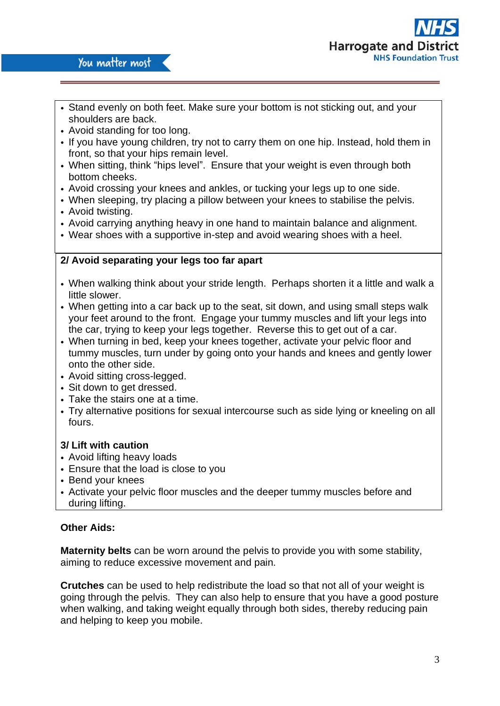

- Stand evenly on both feet. Make sure your bottom is not sticking out, and your shoulders are back.
- Avoid standing for too long.
- If you have young children, try not to carry them on one hip. Instead, hold them in front, so that your hips remain level.
- When sitting, think "hips level". Ensure that your weight is even through both bottom cheeks.
- Avoid crossing your knees and ankles, or tucking your legs up to one side.
- When sleeping, try placing a pillow between your knees to stabilise the pelvis.
- Avoid twisting.
- Avoid carrying anything heavy in one hand to maintain balance and alignment.
- Wear shoes with a supportive in-step and avoid wearing shoes with a heel.

## **2/ Avoid separating your legs too far apart**

- When walking think about your stride length. Perhaps shorten it a little and walk a little slower.
- When getting into a car back up to the seat, sit down, and using small steps walk your feet around to the front. Engage your tummy muscles and lift your legs into the car, trying to keep your legs together. Reverse this to get out of a car.
- When turning in bed, keep your knees together, activate your pelvic floor and tummy muscles, turn under by going onto your hands and knees and gently lower onto the other side.
- Avoid sitting cross-legged.
- Sit down to get dressed.
- Take the stairs one at a time.
- Try alternative positions for sexual intercourse such as side lying or kneeling on all fours.

## **3/ Lift with caution**

- Avoid lifting heavy loads
- Ensure that the load is close to you
- Bend your knees
- Activate your pelvic floor muscles and the deeper tummy muscles before and during lifting.

## **Other Aids:**

**Maternity belts** can be worn around the pelvis to provide you with some stability, aiming to reduce excessive movement and pain.

**Crutches** can be used to help redistribute the load so that not all of your weight is going through the pelvis. They can also help to ensure that you have a good posture when walking, and taking weight equally through both sides, thereby reducing pain and helping to keep you mobile.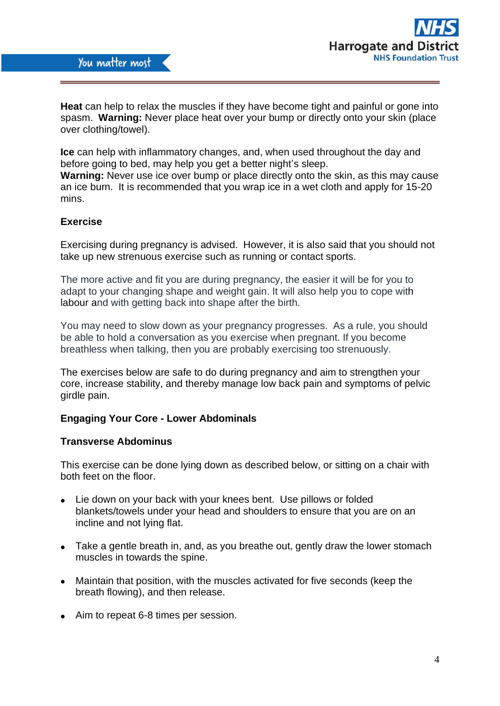

**Heat** can help to relax the muscles if they have become tight and painful or gone into spasm. **Warning:** Never place heat over your bump or directly onto your skin (place over clothing/towel).

**Ice** can help with inflammatory changes, and, when used throughout the day and before going to bed, may help you get a better night's sleep.

**Warning:** Never use ice over bump or place directly onto the skin, as this may cause an ice burn. It is recommended that you wrap ice in a wet cloth and apply for 15-20 mins.

#### **Exercise**

Exercising during pregnancy is advised. However, it is also said that you should not take up new strenuous exercise such as running or contact sports.

The more active and fit you are during pregnancy, the easier it will be for you to adapt to your changing shape and weight gain. It will also help you to cope with [labour](https://www.nhs.uk/conditions/pregnancy-and-baby/labour-signs-what-happens/) and with getting back into shape after the birth.

You may need to slow down as your pregnancy progresses. As a rule, you should be able to hold a conversation as you exercise when pregnant. If you become breathless when talking, then you are probably exercising too strenuously.

The exercises below are safe to do during pregnancy and aim to strengthen your core, increase stability, and thereby manage low back pain and symptoms of pelvic girdle pain.

#### **Engaging Your Core - Lower Abdominals**

#### **Transverse Abdominus**

This exercise can be done lying down as described below, or sitting on a chair with both feet on the floor.

- Lie down on your back with your knees bent. Use pillows or folded blankets/towels under your head and shoulders to ensure that you are on an incline and not lying flat.
- Take a gentle breath in, and, as you breathe out, gently draw the lower stomach muscles in towards the spine.
- Maintain that position, with the muscles activated for five seconds (keep the breath flowing), and then release.
- Aim to repeat 6-8 times per session.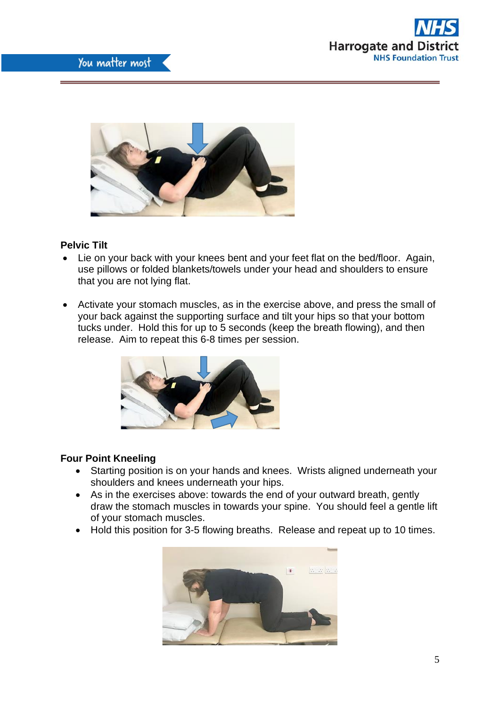



# **Pelvic Tilt**

- Lie on your back with your knees bent and your feet flat on the bed/floor. Again, use pillows or folded blankets/towels under your head and shoulders to ensure that you are not lying flat.
- Activate your stomach muscles, as in the exercise above, and press the small of your back against the supporting surface and tilt your hips so that your bottom tucks under. Hold this for up to 5 seconds (keep the breath flowing), and then release. Aim to repeat this 6-8 times per session.



## **Four Point Kneeling**

- Starting position is on your hands and knees. Wrists aligned underneath your shoulders and knees underneath your hips.
- As in the exercises above: towards the end of your outward breath, gently draw the stomach muscles in towards your spine. You should feel a gentle lift of your stomach muscles.
- Hold this position for 3-5 flowing breaths. Release and repeat up to 10 times.

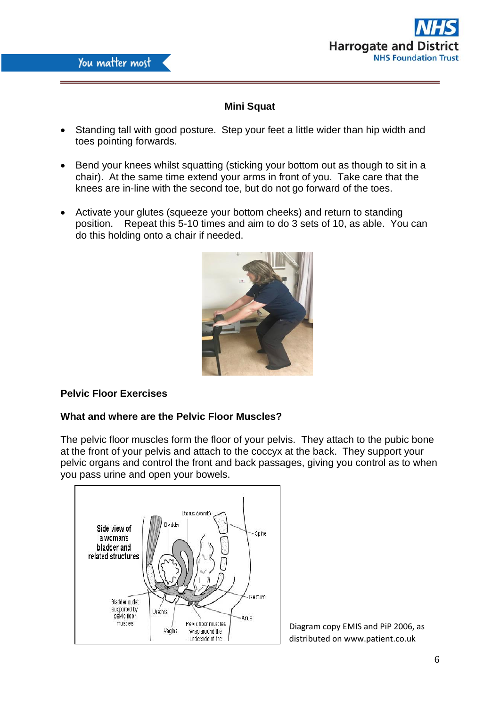



# **Mini Squat**

- Standing tall with good posture. Step your feet a little wider than hip width and toes pointing forwards.
- Bend your knees whilst squatting (sticking your bottom out as though to sit in a chair). At the same time extend your arms in front of you. Take care that the knees are in-line with the second toe, but do not go forward of the toes.
- Activate your glutes (squeeze your bottom cheeks) and return to standing position. Repeat this 5-10 times and aim to do 3 sets of 10, as able. You can do this holding onto a chair if needed.



# **Pelvic Floor Exercises**

# **What and where are the Pelvic Floor Muscles?**

The pelvic floor muscles form the floor of your pelvis. They attach to the pubic bone at the front of your pelvis and attach to the coccyx at the back. They support your pelvic organs and control the front and back passages, giving you control as to when you pass urine and open your bowels.



Diagram copy EMIS and PiP 2006, as distributed on www.patient.co.uk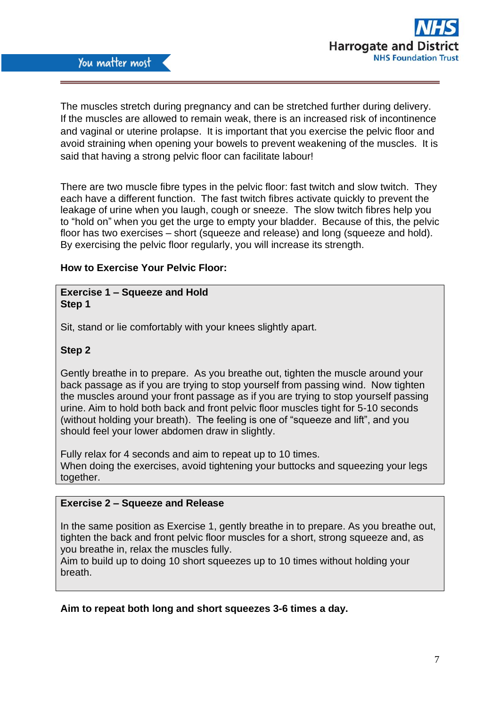

The muscles stretch during pregnancy and can be stretched further during delivery. If the muscles are allowed to remain weak, there is an increased risk of incontinence and vaginal or uterine prolapse. It is important that you exercise the pelvic floor and avoid straining when opening your bowels to prevent weakening of the muscles. It is said that having a strong pelvic floor can facilitate labour!

There are two muscle fibre types in the pelvic floor: fast twitch and slow twitch. They each have a different function. The fast twitch fibres activate quickly to prevent the leakage of urine when you laugh, cough or sneeze. The slow twitch fibres help you to "hold on" when you get the urge to empty your bladder. Because of this, the pelvic floor has two exercises – short (squeeze and release) and long (squeeze and hold). By exercising the pelvic floor regularly, you will increase its strength.

## **How to Exercise Your Pelvic Floor:**

## **Exercise 1 – Squeeze and Hold Step 1**

Sit, stand or lie comfortably with your knees slightly apart.

# **Step 2**

Gently breathe in to prepare. As you breathe out, tighten the muscle around your back passage as if you are trying to stop yourself from passing wind. Now tighten the muscles around your front passage as if you are trying to stop yourself passing urine. Aim to hold both back and front pelvic floor muscles tight for 5-10 seconds (without holding your breath). The feeling is one of "squeeze and lift", and you should feel your lower abdomen draw in slightly.

Fully relax for 4 seconds and aim to repeat up to 10 times. When doing the exercises, avoid tightening your buttocks and squeezing your legs together.

## **Exercise 2 – Squeeze and Release**

In the same position as Exercise 1, gently breathe in to prepare. As you breathe out, tighten the back and front pelvic floor muscles for a short, strong squeeze and, as you breathe in, relax the muscles fully.

Aim to build up to doing 10 short squeezes up to 10 times without holding your breath.

## **Aim to repeat both long and short squeezes 3-6 times a day.**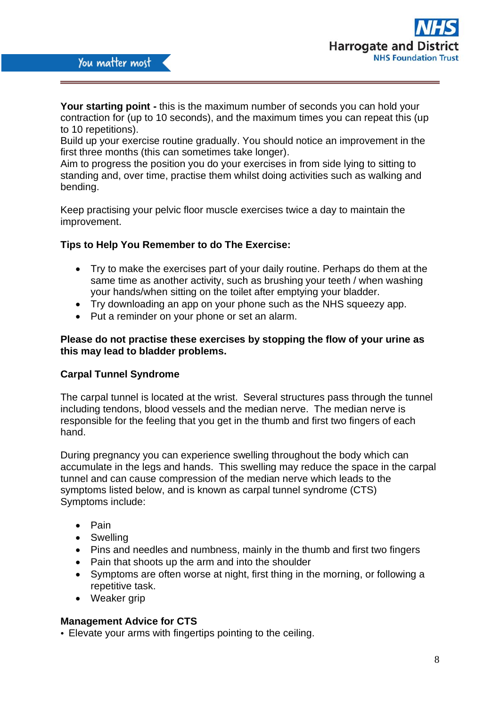

**Your starting point -** this is the maximum number of seconds you can hold your contraction for (up to 10 seconds), and the maximum times you can repeat this (up to 10 repetitions).

Build up your exercise routine gradually. You should notice an improvement in the first three months (this can sometimes take longer).

Aim to progress the position you do your exercises in from side lying to sitting to standing and, over time, practise them whilst doing activities such as walking and bending.

Keep practising your pelvic floor muscle exercises twice a day to maintain the improvement.

#### **Tips to Help You Remember to do The Exercise:**

- Try to make the exercises part of your daily routine. Perhaps do them at the same time as another activity, such as brushing your teeth / when washing your hands/when sitting on the toilet after emptying your bladder.
- Try downloading an app on your phone such as the NHS squeezy app.
- Put a reminder on your phone or set an alarm.

#### **Please do not practise these exercises by stopping the flow of your urine as this may lead to bladder problems.**

#### **Carpal Tunnel Syndrome**

The carpal tunnel is located at the wrist. Several structures pass through the tunnel including tendons, blood vessels and the median nerve. The median nerve is responsible for the feeling that you get in the thumb and first two fingers of each hand.

During pregnancy you can experience swelling throughout the body which can accumulate in the legs and hands. This swelling may reduce the space in the carpal tunnel and can cause compression of the median nerve which leads to the symptoms listed below, and is known as carpal tunnel syndrome (CTS) Symptoms include:

- Pain
- Swelling
- Pins and needles and numbness, mainly in the thumb and first two fingers
- Pain that shoots up the arm and into the shoulder
- Symptoms are often worse at night, first thing in the morning, or following a repetitive task.
- Weaker grip

#### **Management Advice for CTS**

• Elevate your arms with fingertips pointing to the ceiling.